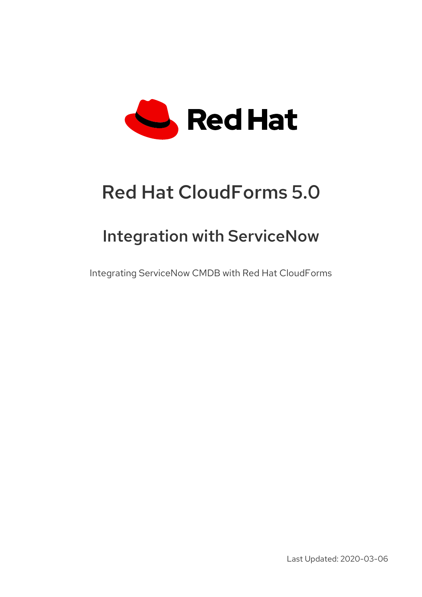

# Red Hat CloudForms 5.0

# Integration with ServiceNow

Integrating ServiceNow CMDB with Red Hat CloudForms

Last Updated: 2020-03-06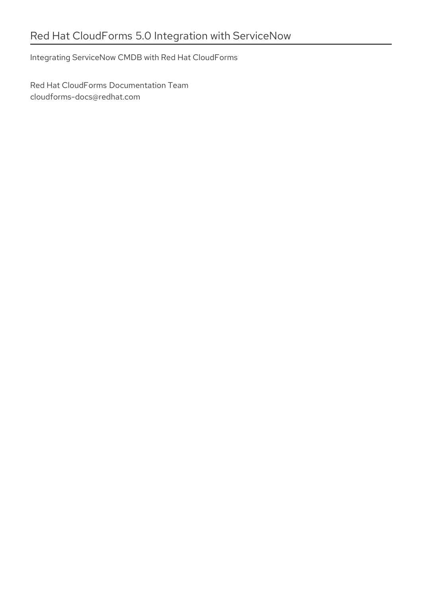Integrating ServiceNow CMDB with Red Hat CloudForms

Red Hat CloudForms Documentation Team cloudforms-docs@redhat.com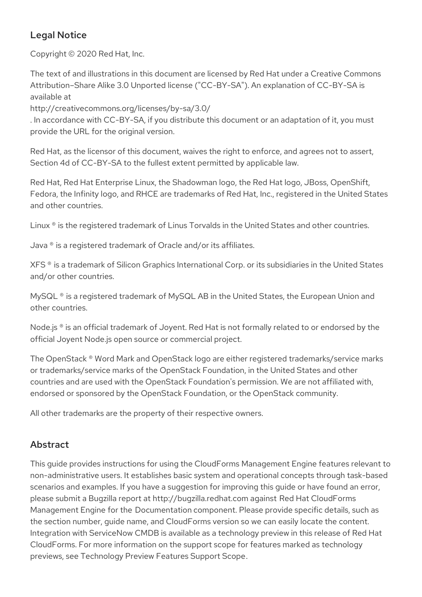## Legal Notice

Copyright © 2020 Red Hat, Inc.

The text of and illustrations in this document are licensed by Red Hat under a Creative Commons Attribution–Share Alike 3.0 Unported license ("CC-BY-SA"). An explanation of CC-BY-SA is available at

http://creativecommons.org/licenses/by-sa/3.0/

. In accordance with CC-BY-SA, if you distribute this document or an adaptation of it, you must provide the URL for the original version.

Red Hat, as the licensor of this document, waives the right to enforce, and agrees not to assert, Section 4d of CC-BY-SA to the fullest extent permitted by applicable law.

Red Hat, Red Hat Enterprise Linux, the Shadowman logo, the Red Hat logo, JBoss, OpenShift, Fedora, the Infinity logo, and RHCE are trademarks of Red Hat, Inc., registered in the United States and other countries.

Linux ® is the registered trademark of Linus Torvalds in the United States and other countries.

Java ® is a registered trademark of Oracle and/or its affiliates.

XFS ® is a trademark of Silicon Graphics International Corp. or its subsidiaries in the United States and/or other countries.

MySQL<sup>®</sup> is a registered trademark of MySQL AB in the United States, the European Union and other countries.

Node.js ® is an official trademark of Joyent. Red Hat is not formally related to or endorsed by the official Joyent Node.js open source or commercial project.

The OpenStack ® Word Mark and OpenStack logo are either registered trademarks/service marks or trademarks/service marks of the OpenStack Foundation, in the United States and other countries and are used with the OpenStack Foundation's permission. We are not affiliated with, endorsed or sponsored by the OpenStack Foundation, or the OpenStack community.

All other trademarks are the property of their respective owners.

### Abstract

This guide provides instructions for using the CloudForms Management Engine features relevant to non-administrative users. It establishes basic system and operational concepts through task-based scenarios and examples. If you have a suggestion for improving this guide or have found an error, please submit a Bugzilla report at http://bugzilla.redhat.com against Red Hat CloudForms Management Engine for the Documentation component. Please provide specific details, such as the section number, guide name, and CloudForms version so we can easily locate the content. Integration with ServiceNow CMDB is available as a technology preview in this release of Red Hat CloudForms. For more information on the support scope for features marked as technology previews, see Technology Preview Features Support Scope.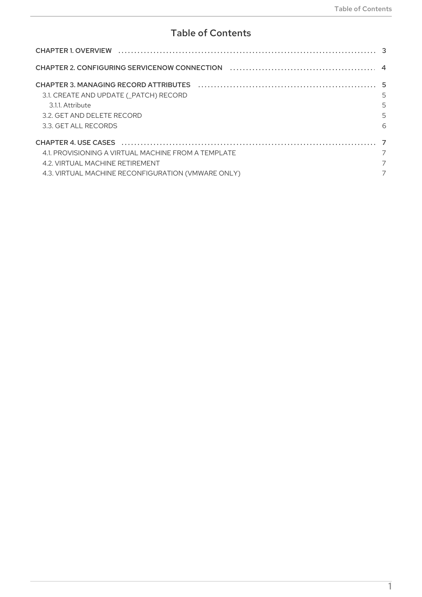## **Table of Contents**

| 3.1. CREATE AND UPDATE (_PATCH) RECORD<br>3.1.1. Attribute<br>3.2. GET AND DELETE RECORD<br>3.3. GET ALL RECORDS                             | 5<br>5<br>5<br>6 |
|----------------------------------------------------------------------------------------------------------------------------------------------|------------------|
| 4.1. PROVISIONING A VIRTUAL MACHINE FROM A TEMPLATE<br>4.2. VIRTUAL MACHINE RETIREMENT<br>4.3. VIRTUAL MACHINE RECONFIGURATION (VMWARE ONLY) | 7<br>7<br>7      |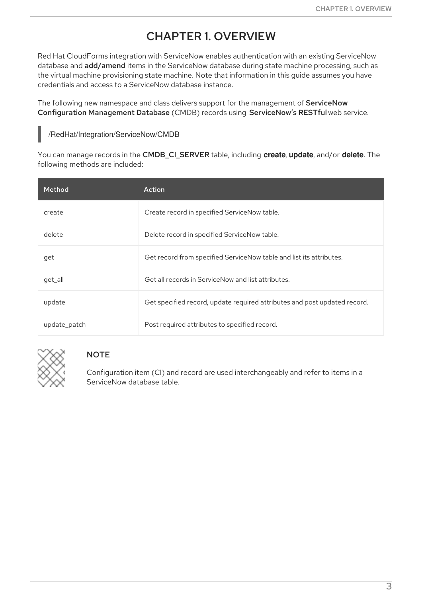# CHAPTER 1. OVERVIEW

<span id="page-6-0"></span>Red Hat CloudForms integration with ServiceNow enables authentication with an existing ServiceNow database and add/amend items in the ServiceNow database during state machine processing, such as the virtual machine provisioning state machine. Note that information in this guide assumes you have credentials and access to a ServiceNow database instance.

The following new namespace and class delivers support for the management of ServiceNow Configuration Management Database (CMDB) records using ServiceNow's RESTful web service.

#### /RedHat/Integration/ServiceNow/CMDB

You can manage records in the CMDB\_CI\_SERVER table, including **create**, **update**, and/or **delete**. The following methods are included:

| <b>Method</b> | Action                                                                    |
|---------------|---------------------------------------------------------------------------|
| create        | Create record in specified Service Now table.                             |
| delete        | Delete record in specified ServiceNow table.                              |
| get           | Get record from specified Service Now table and list its attributes.      |
| get_all       | Get all records in ServiceNow and list attributes.                        |
| update        | Get specified record, update required attributes and post updated record. |
| update_patch  | Post required attributes to specified record.                             |



#### **NOTE**

Configuration item (CI) and record are used interchangeably and refer to items in a ServiceNow database table.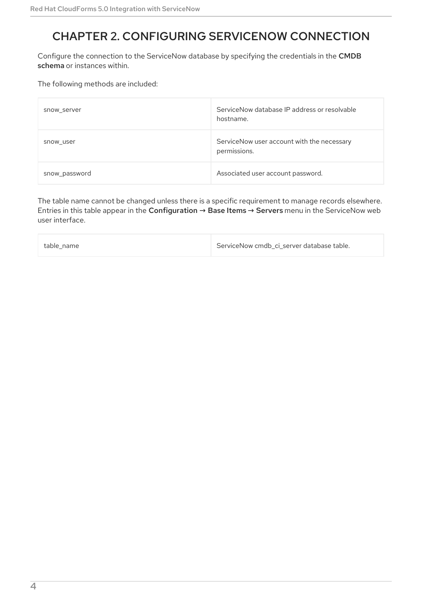# <span id="page-7-0"></span>CHAPTER 2. CONFIGURING SERVICENOW CONNECTION

Configure the connection to the ServiceNow database by specifying the credentials in the CMDB schema or instances within.

The following methods are included:

| snow server   | ServiceNow database IP address or resolvable<br>hostname.  |
|---------------|------------------------------------------------------------|
| snow user     | ServiceNow user account with the necessary<br>permissions. |
| snow_password | Associated user account password.                          |

The table name cannot be changed unless there is a specific requirement to manage records elsewhere. Entries in this table appear in the Configuration → Base Items → Servers menu in the ServiceNow web user interface.

| table name | ServiceNow cmdb ci server database table. |
|------------|-------------------------------------------|
|            |                                           |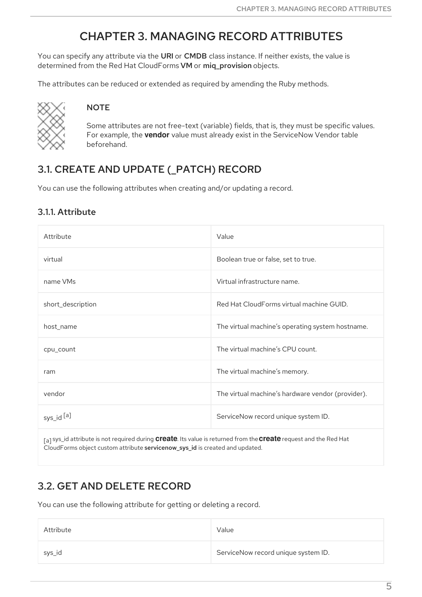# CHAPTER 3. MANAGING RECORD ATTRIBUTES

<span id="page-8-0"></span>You can specify any attribute via the URI or CMDB class instance. If neither exists, the value is determined from the Red Hat CloudForms VM or miq\_provision objects.

The attributes can be reduced or extended as required by amending the Ruby methods.



#### **NOTE**

Some attributes are not free-text (variable) fields, that is, they must be specific values. For example, the **vendor** value must already exist in the ServiceNow Vendor table beforehand.

## <span id="page-8-1"></span>3.1. CREATE AND UPDATE (\_PATCH) RECORD

You can use the following attributes when creating and/or updating a record.

#### <span id="page-8-2"></span>3.1.1. Attribute

| Attribute                                                                                                                                                                                                             | Value                                             |
|-----------------------------------------------------------------------------------------------------------------------------------------------------------------------------------------------------------------------|---------------------------------------------------|
| virtual                                                                                                                                                                                                               | Boolean true or false, set to true.               |
| name VMs                                                                                                                                                                                                              | Virtual infrastructure name.                      |
| short_description                                                                                                                                                                                                     | Red Hat CloudForms virtual machine GUID.          |
| host_name                                                                                                                                                                                                             | The virtual machine's operating system hostname.  |
| cpu count                                                                                                                                                                                                             | The virtual machine's CPU count.                  |
| ram                                                                                                                                                                                                                   | The virtual machine's memory.                     |
| vendor                                                                                                                                                                                                                | The virtual machine's hardware vendor (provider). |
| sys_id <sup>[a]</sup>                                                                                                                                                                                                 | ServiceNow record unique system ID.               |
| $_{[a]}$ sys_id attribute is not required during <b>Create</b> . Its value is returned from the <b>Create</b> request and the Red Hat<br>CloudForms object custom attribute servicenow_sys_id is created and updated. |                                                   |

## <span id="page-8-5"></span><span id="page-8-4"></span><span id="page-8-3"></span>3.2. GET AND DELETE RECORD

You can use the following attribute for getting or deleting a record.

| Attribute | Value                               |
|-----------|-------------------------------------|
| sys_id    | ServiceNow record unique system ID. |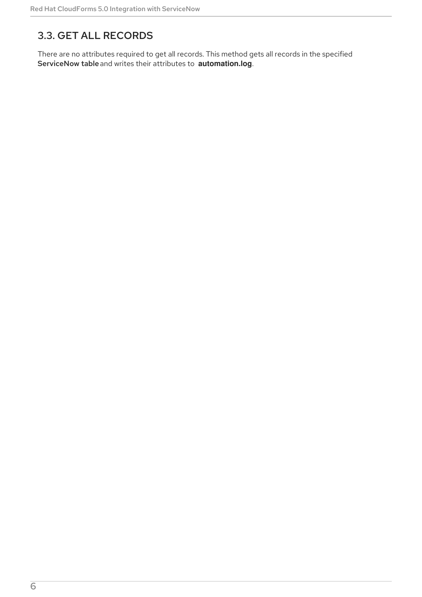## <span id="page-9-0"></span>3.3. GET ALL RECORDS

There are no attributes required to get all records. This method gets all records in the specified ServiceNow tableand writes their attributes to **automation.log**.